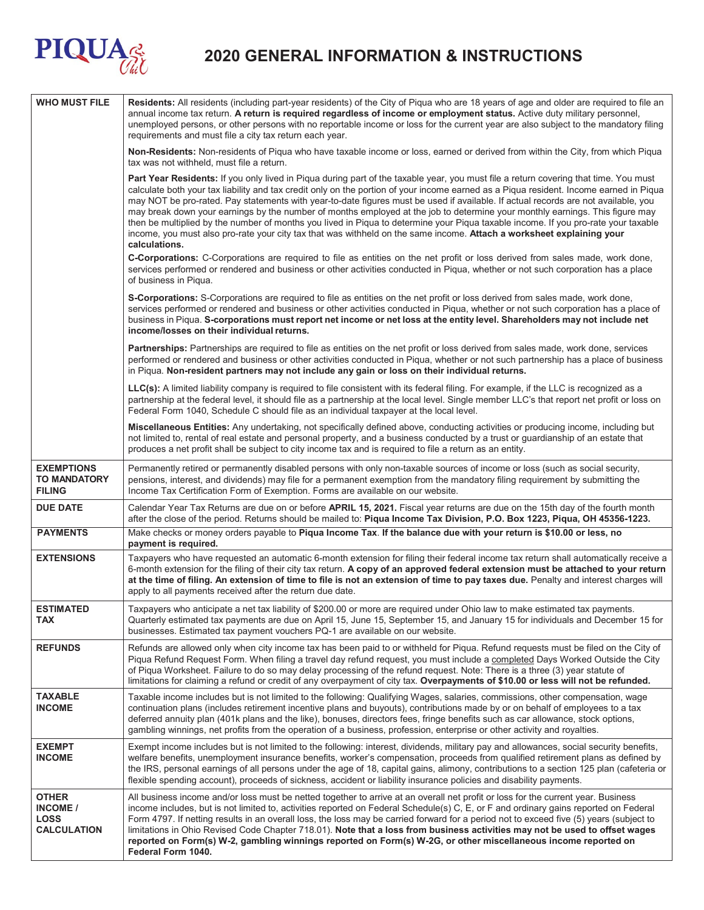

## **2020 GENERAL INFORMATION & INSTRUCTIONS**

| <b>WHO MUST FILE</b>                                                 | Residents: All residents (including part-year residents) of the City of Piqua who are 18 years of age and older are required to file an<br>annual income tax return. A return is required regardless of income or employment status. Active duty military personnel,<br>unemployed persons, or other persons with no reportable income or loss for the current year are also subject to the mandatory filing<br>requirements and must file a city tax return each year.                                                                                                                                                                                                                                                                                                                                                              |  |  |
|----------------------------------------------------------------------|--------------------------------------------------------------------------------------------------------------------------------------------------------------------------------------------------------------------------------------------------------------------------------------------------------------------------------------------------------------------------------------------------------------------------------------------------------------------------------------------------------------------------------------------------------------------------------------------------------------------------------------------------------------------------------------------------------------------------------------------------------------------------------------------------------------------------------------|--|--|
|                                                                      | Non-Residents: Non-residents of Piqua who have taxable income or loss, earned or derived from within the City, from which Piqua<br>tax was not withheld, must file a return.                                                                                                                                                                                                                                                                                                                                                                                                                                                                                                                                                                                                                                                         |  |  |
|                                                                      | Part Year Residents: If you only lived in Piqua during part of the taxable year, you must file a return covering that time. You must<br>calculate both your tax liability and tax credit only on the portion of your income earned as a Piqua resident. Income earned in Piqua<br>may NOT be pro-rated. Pay statements with year-to-date figures must be used if available. If actual records are not available, you<br>may break down your earnings by the number of months employed at the job to determine your monthly earnings. This figure may<br>then be multiplied by the number of months you lived in Piqua to determine your Piqua taxable income. If you pro-rate your taxable<br>income, you must also pro-rate your city tax that was withheld on the same income. Attach a worksheet explaining your<br>calculations. |  |  |
|                                                                      | C-Corporations: C-Corporations are required to file as entities on the net profit or loss derived from sales made, work done,<br>services performed or rendered and business or other activities conducted in Piqua, whether or not such corporation has a place<br>of business in Piqua.                                                                                                                                                                                                                                                                                                                                                                                                                                                                                                                                            |  |  |
|                                                                      | S-Corporations: S-Corporations are required to file as entities on the net profit or loss derived from sales made, work done,<br>services performed or rendered and business or other activities conducted in Piqua, whether or not such corporation has a place of<br>business in Piqua. S-corporations must report net income or net loss at the entity level. Shareholders may not include net<br>income/losses on their individual returns.                                                                                                                                                                                                                                                                                                                                                                                      |  |  |
|                                                                      | Partnerships: Partnerships are required to file as entities on the net profit or loss derived from sales made, work done, services<br>performed or rendered and business or other activities conducted in Piqua, whether or not such partnership has a place of business<br>in Piqua. Non-resident partners may not include any gain or loss on their individual returns.                                                                                                                                                                                                                                                                                                                                                                                                                                                            |  |  |
|                                                                      | LLC(s): A limited liability company is required to file consistent with its federal filing. For example, if the LLC is recognized as a<br>partnership at the federal level, it should file as a partnership at the local level. Single member LLC's that report net profit or loss on<br>Federal Form 1040, Schedule C should file as an individual taxpayer at the local level.                                                                                                                                                                                                                                                                                                                                                                                                                                                     |  |  |
|                                                                      | Miscellaneous Entities: Any undertaking, not specifically defined above, conducting activities or producing income, including but<br>not limited to, rental of real estate and personal property, and a business conducted by a trust or guardianship of an estate that<br>produces a net profit shall be subject to city income tax and is required to file a return as an entity.                                                                                                                                                                                                                                                                                                                                                                                                                                                  |  |  |
| <b>EXEMPTIONS</b><br><b>TO MANDATORY</b><br><b>FILING</b>            | Permanently retired or permanently disabled persons with only non-taxable sources of income or loss (such as social security,<br>pensions, interest, and dividends) may file for a permanent exemption from the mandatory filing requirement by submitting the<br>Income Tax Certification Form of Exemption. Forms are available on our website.                                                                                                                                                                                                                                                                                                                                                                                                                                                                                    |  |  |
| <b>DUE DATE</b>                                                      | Calendar Year Tax Returns are due on or before APRIL 15, 2021. Fiscal year returns are due on the 15th day of the fourth month<br>after the close of the period. Returns should be mailed to: Piqua Income Tax Division, P.O. Box 1223, Piqua, OH 45356-1223.                                                                                                                                                                                                                                                                                                                                                                                                                                                                                                                                                                        |  |  |
| <b>PAYMENTS</b>                                                      | Make checks or money orders payable to Piqua Income Tax. If the balance due with your return is \$10.00 or less, no<br>payment is required.                                                                                                                                                                                                                                                                                                                                                                                                                                                                                                                                                                                                                                                                                          |  |  |
| <b>EXTENSIONS</b>                                                    | Taxpayers who have requested an automatic 6-month extension for filing their federal income tax return shall automatically receive a<br>6-month extension for the filing of their city tax return. A copy of an approved federal extension must be attached to your return<br>at the time of filing. An extension of time to file is not an extension of time to pay taxes due. Penalty and interest charges will<br>apply to all payments received after the return due date.                                                                                                                                                                                                                                                                                                                                                       |  |  |
| <b>ESTIMATED</b><br>TAX                                              | Taxpayers who anticipate a net tax liability of \$200.00 or more are required under Ohio law to make estimated tax payments.<br>Quarterly estimated tax payments are due on April 15, June 15, September 15, and January 15 for individuals and December 15 for<br>businesses. Estimated tax payment vouchers PQ-1 are available on our website.                                                                                                                                                                                                                                                                                                                                                                                                                                                                                     |  |  |
| <b>REFUNDS</b>                                                       | Refunds are allowed only when city income tax has been paid to or withheld for Piqua. Refund requests must be filed on the City of<br>Piqua Refund Request Form. When filing a travel day refund request, you must include a completed Days Worked Outside the City<br>of Piqua Worksheet. Failure to do so may delay processing of the refund request. Note: There is a three (3) year statute of<br>limitations for claiming a refund or credit of any overpayment of city tax. Overpayments of \$10.00 or less will not be refunded.                                                                                                                                                                                                                                                                                              |  |  |
| TAXABLE<br><b>INCOME</b>                                             | Taxable income includes but is not limited to the following: Qualifying Wages, salaries, commissions, other compensation, wage<br>continuation plans (includes retirement incentive plans and buyouts), contributions made by or on behalf of employees to a tax<br>deferred annuity plan (401k plans and the like), bonuses, directors fees, fringe benefits such as car allowance, stock options,<br>gambling winnings, net profits from the operation of a business, profession, enterprise or other activity and royalties.                                                                                                                                                                                                                                                                                                      |  |  |
| <b>EXEMPT</b><br><b>INCOME</b>                                       | Exempt income includes but is not limited to the following: interest, dividends, military pay and allowances, social security benefits,<br>welfare benefits, unemployment insurance benefits, worker's compensation, proceeds from qualified retirement plans as defined by<br>the IRS, personal earnings of all persons under the age of 18, capital gains, alimony, contributions to a section 125 plan (cafeteria or<br>flexible spending account), proceeds of sickness, accident or liability insurance policies and disability payments.                                                                                                                                                                                                                                                                                       |  |  |
| <b>OTHER</b><br><b>INCOME /</b><br><b>LOSS</b><br><b>CALCULATION</b> | All business income and/or loss must be netted together to arrive at an overall net profit or loss for the current year. Business<br>income includes, but is not limited to, activities reported on Federal Schedule(s) C, E, or F and ordinary gains reported on Federal<br>Form 4797. If netting results in an overall loss, the loss may be carried forward for a period not to exceed five (5) years (subject to<br>limitations in Ohio Revised Code Chapter 718.01). Note that a loss from business activities may not be used to offset wages<br>reported on Form(s) W-2, gambling winnings reported on Form(s) W-2G, or other miscellaneous income reported on<br>Federal Form 1040.                                                                                                                                          |  |  |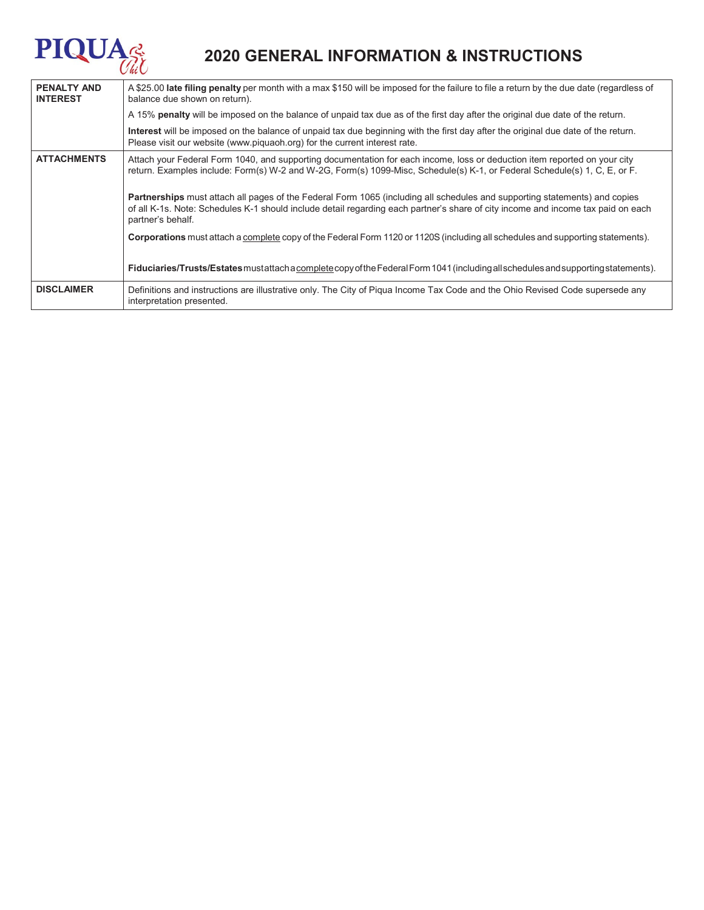# **PIQUA**

## **2020 GENERAL INFORMATION & INSTRUCTIONS**

| <b>PENALTY AND</b><br><b>INTEREST</b> | A \$25.00 late filing penalty per month with a max \$150 will be imposed for the failure to file a return by the due date (regardless of<br>balance due shown on return).                                                                                                                  |  |  |  |
|---------------------------------------|--------------------------------------------------------------------------------------------------------------------------------------------------------------------------------------------------------------------------------------------------------------------------------------------|--|--|--|
|                                       | A 15% penalty will be imposed on the balance of unpaid tax due as of the first day after the original due date of the return.                                                                                                                                                              |  |  |  |
|                                       | Interest will be imposed on the balance of unpaid tax due beginning with the first day after the original due date of the return.<br>Please visit our website (www.piquaoh.org) for the current interest rate.                                                                             |  |  |  |
| <b>ATTACHMENTS</b>                    | Attach your Federal Form 1040, and supporting documentation for each income, loss or deduction item reported on your city<br>return. Examples include: Form(s) W-2 and W-2G, Form(s) 1099-Misc, Schedule(s) K-1, or Federal Schedule(s) 1, C, E, or F.                                     |  |  |  |
|                                       | <b>Partnerships</b> must attach all pages of the Federal Form 1065 (including all schedules and supporting statements) and copies<br>of all K-1s. Note: Schedules K-1 should include detail regarding each partner's share of city income and income tax paid on each<br>partner's behalf. |  |  |  |
|                                       | Corporations must attach a complete copy of the Federal Form 1120 or 1120S (including all schedules and supporting statements).                                                                                                                                                            |  |  |  |
|                                       | Fiduciaries/Trusts/Estates mustatiach a complete copy of the Federal Form 1041 (including all schedules and supporting statements).                                                                                                                                                        |  |  |  |
| <b>DISCLAIMER</b>                     | Definitions and instructions are illustrative only. The City of Piqua Income Tax Code and the Ohio Revised Code supersede any<br>interpretation presented.                                                                                                                                 |  |  |  |